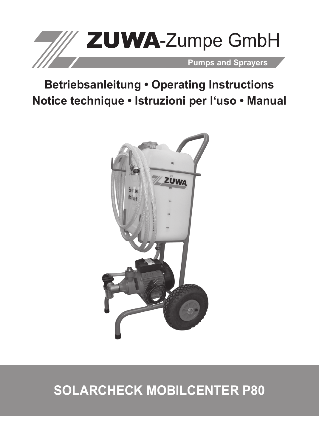

# **Betriebsanleitung • Operating Instructions Notice technique • Istruzioni per l'uso • Manual**



# **Solarcheck Mobilcenter P80**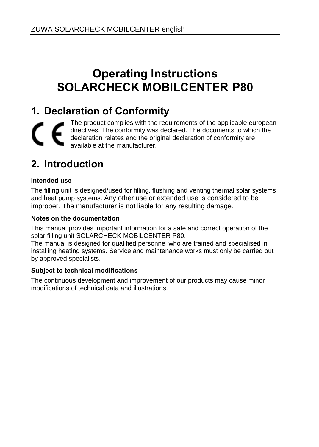## **Operating Instructions SOLARCHECK MOBILCENTER P80**

## **1. Declaration of Conformity**

The product complies with the requirements of the applicable european CE directives. The conformity was declared. The documents to which the declaration relates and the original declaration of conformity are available at the manufacturer.

## **2. Introduction**

#### **Intended use**

The filling unit is designed/used for filling, flushing and venting thermal solar systems and heat pump systems. Any other use or extended use is considered to be improper. The manufacturer is not liable for any resulting damage.

#### **Notes on the documentation**

This manual provides important information for a safe and correct operation of the solar filling unit SOLARCHECK MOBILCENTER P80.

The manual is designed for qualified personnel who are trained and specialised in installing heating systems. Service and maintenance works must only be carried out by approved specialists.

#### **Subject to technical modifications**

The continuous development and improvement of our products may cause minor modifications of technical data and illustrations.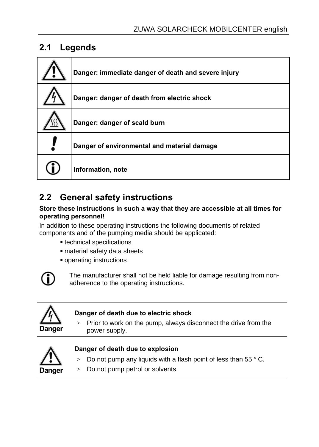### **2.1 Legends**

| Danger: immediate danger of death and severe injury |
|-----------------------------------------------------|
| Danger: danger of death from electric shock         |
| Danger: danger of scald burn                        |
| Danger of environmental and material damage         |
| Information, note                                   |

### **2.2 General safety instructions**

#### **Store these instructions in such a way that they are accessible at all times for operating personnel!**

In addition to these operating instructions the following documents of related components and of the pumping media should be applicated:

- technical specifications
- material safety data sheets
- operating instructions



The manufacturer shall not be held liable for damage resulting from nonadherence to the operating instructions.



#### **Danger of death due to electric shock**

 $>$  Prior to work on the pump, always disconnect the drive from the power supply.



#### **Danger of death due to explosion**

- $>$  Do not pump any liquids with a flash point of less than 55  $^{\circ}$  C.
- > Do not pump petrol or solvents.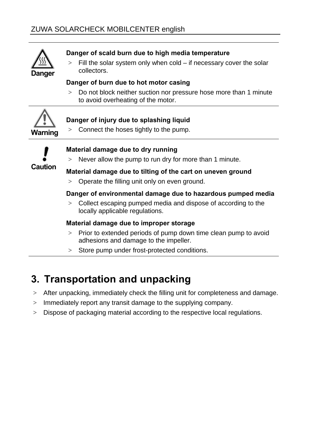

#### **Danger of scald burn due to high media temperature**

 $>$  Fill the solar system only when cold – if necessary cover the solar collectors.

#### **Danger of burn due to hot motor casing**

> Do not block neither suction nor pressure hose more than 1 minute to avoid overheating of the motor.



#### **Danger of injury due to splashing liquid**

> Connect the hoses tightly to the pump.



#### **Material damage due to dry running**

 $>$  Never allow the pump to run dry for more than 1 minute.

#### **Material damage due to tilting of the cart on uneven ground**

> Operate the filling unit only on even ground.

#### **Danger of environmental damage due to hazardous pumped media**

> Collect escaping pumped media and dispose of according to the locally applicable regulations.

#### **Material damage due to improper storage**

- > Prior to extended periods of pump down time clean pump to avoid adhesions and damage to the impeller.
- > Store pump under frost-protected conditions.

## **3. Transportation and unpacking**

- > After unpacking, immediately check the filling unit for completeness and damage.
- > Immediately report any transit damage to the supplying company.
- > Dispose of packaging material according to the respective local regulations.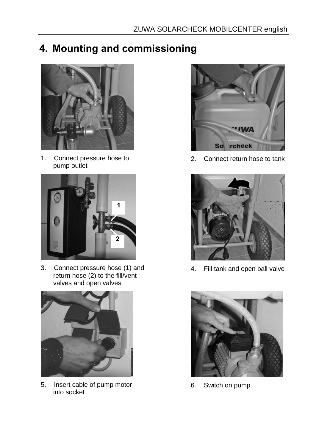## **4. Mounting and commissioning**



1. Connect pressure hose to pump outlet



3. Connect pressure hose (1) and return hose (2) to the fill/vent valves and open valves



5. Insert cable of pump motor into socket



2. Connect return hose to tank



4. Fill tank and open ball valve



6. Switch on pump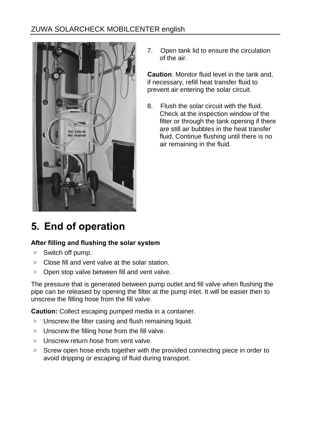### ZUWA SOLARCHECK MOBILCENTER english



7. Open tank lid to ensure the circulation of the air.

**Caution**: Monitor fluid level in the tank and, if necessary, refill heat transfer fluid to prevent air entering the solar circuit.

8. Flush the solar circuit with the fluid. Check at the inspection window of the filter or through the tank opening if there are still air bubbles in the heat transfer fluid. Continue flushing until there is no air remaining in the fluid.

## **5. End of operation**

#### **After filling and flushing the solar system**

- > Switch off pump.
- > Close fill and vent valve at the solar station.
- > Open stop valve between fill and vent valve.

The pressure that is generated between pump outlet and fill valve when flushing the pipe can be released by opening the filter at the pump inlet. It will be easier then to unscrew the filling hose from the fill valve.

**Caution:** Collect escaping pumped media in a container.

- > Unscrew the filter casing and flush remaining liquid.
- > Unscrew the filling hose from the fill valve.
- > Unscrew return hose from vent valve.
- > Screw open hose ends together with the provided connecting piece in order to avoid dripping or escaping of fluid during transport.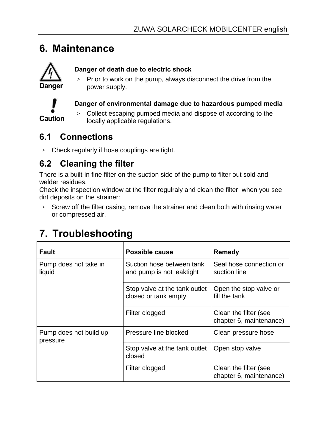### **6. Maintenance**



#### **Danger of death due to electric shock**

 $>$  Prior to work on the pump, always disconnect the drive from the power supply.



#### **Danger of environmental damage due to hazardous pumped media**

> Collect escaping pumped media and dispose of according to the locally applicable regulations.

### **6.1 Connections**

> Check regularly if hose couplings are tight.

### **6.2 Cleaning the filter**

There is a built-in fine filter on the suction side of the pump to filter out sold and welder residues.

Check the inspection window at the filter regulraly and clean the filter when you see dirt deposits on the strainer:

> Screw off the filter casing, remove the strainer and clean both with rinsing water or compressed air.

| Fault                              | Possible cause                                         | Remedy                                           |  |
|------------------------------------|--------------------------------------------------------|--------------------------------------------------|--|
| Pump does not take in<br>liquid    | Suction hose between tank<br>and pump is not leaktight | Seal hose connection or<br>suction line          |  |
|                                    | Stop valve at the tank outlet<br>closed or tank empty  | Open the stop valve or<br>fill the tank          |  |
|                                    | Filter clogged                                         | Clean the filter (see<br>chapter 6, maintenance) |  |
| Pump does not build up<br>pressure | Pressure line blocked                                  | Clean pressure hose                              |  |
|                                    | Stop valve at the tank outlet<br>closed                | Open stop valve                                  |  |
|                                    | Filter clogged                                         | Clean the filter (see<br>chapter 6, maintenance) |  |

## **7. Troubleshooting**